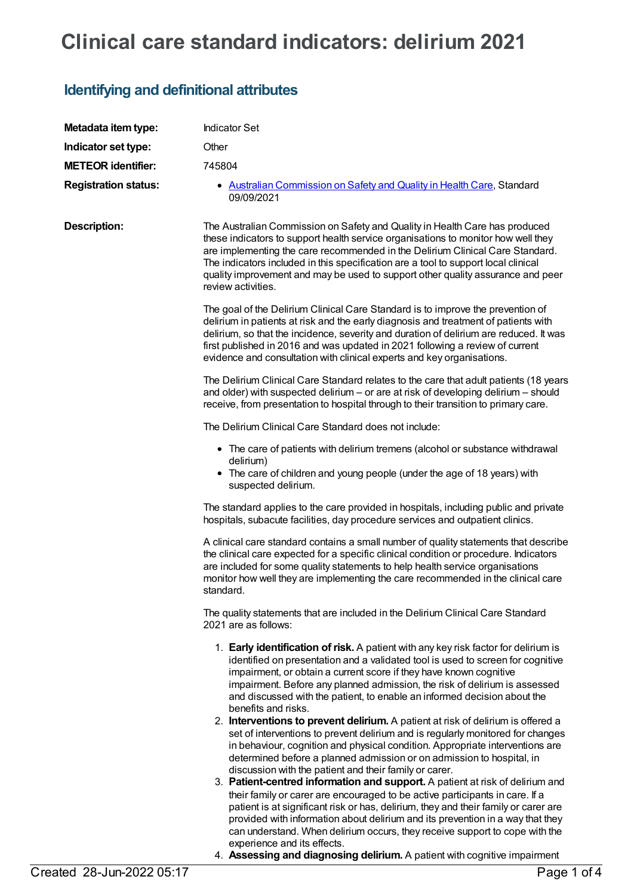# **Clinical care standard indicators: delirium 2021**

### **Identifying and definitional attributes**

| Metadata item type:         | <b>Indicator Set</b>                                                                                                                                                                                                                                                                                                                                                                                                                                                                                                                                                                                                                                                                                                                                                                                                                                                                                                                                                                                                                                                                                                                                               |
|-----------------------------|--------------------------------------------------------------------------------------------------------------------------------------------------------------------------------------------------------------------------------------------------------------------------------------------------------------------------------------------------------------------------------------------------------------------------------------------------------------------------------------------------------------------------------------------------------------------------------------------------------------------------------------------------------------------------------------------------------------------------------------------------------------------------------------------------------------------------------------------------------------------------------------------------------------------------------------------------------------------------------------------------------------------------------------------------------------------------------------------------------------------------------------------------------------------|
| Indicator set type:         | Other                                                                                                                                                                                                                                                                                                                                                                                                                                                                                                                                                                                                                                                                                                                                                                                                                                                                                                                                                                                                                                                                                                                                                              |
| <b>METEOR identifier:</b>   | 745804                                                                                                                                                                                                                                                                                                                                                                                                                                                                                                                                                                                                                                                                                                                                                                                                                                                                                                                                                                                                                                                                                                                                                             |
| <b>Registration status:</b> | • Australian Commission on Safety and Quality in Health Care, Standard<br>09/09/2021                                                                                                                                                                                                                                                                                                                                                                                                                                                                                                                                                                                                                                                                                                                                                                                                                                                                                                                                                                                                                                                                               |
| <b>Description:</b>         | The Australian Commission on Safety and Quality in Health Care has produced<br>these indicators to support health service organisations to monitor how well they<br>are implementing the care recommended in the Delirium Clinical Care Standard.<br>The indicators included in this specification are a tool to support local clinical<br>quality improvement and may be used to support other quality assurance and peer<br>review activities.                                                                                                                                                                                                                                                                                                                                                                                                                                                                                                                                                                                                                                                                                                                   |
|                             | The goal of the Delirium Clinical Care Standard is to improve the prevention of<br>delirium in patients at risk and the early diagnosis and treatment of patients with<br>delirium, so that the incidence, severity and duration of delirium are reduced. It was<br>first published in 2016 and was updated in 2021 following a review of current<br>evidence and consultation with clinical experts and key organisations.                                                                                                                                                                                                                                                                                                                                                                                                                                                                                                                                                                                                                                                                                                                                        |
|                             | The Delirium Clinical Care Standard relates to the care that adult patients (18 years<br>and older) with suspected delirium - or are at risk of developing delirium - should<br>receive, from presentation to hospital through to their transition to primary care.                                                                                                                                                                                                                                                                                                                                                                                                                                                                                                                                                                                                                                                                                                                                                                                                                                                                                                |
|                             | The Delirium Clinical Care Standard does not include:                                                                                                                                                                                                                                                                                                                                                                                                                                                                                                                                                                                                                                                                                                                                                                                                                                                                                                                                                                                                                                                                                                              |
|                             | • The care of patients with delirium tremens (alcohol or substance withdrawal<br>delirium)                                                                                                                                                                                                                                                                                                                                                                                                                                                                                                                                                                                                                                                                                                                                                                                                                                                                                                                                                                                                                                                                         |
|                             | • The care of children and young people (under the age of 18 years) with<br>suspected delirium.                                                                                                                                                                                                                                                                                                                                                                                                                                                                                                                                                                                                                                                                                                                                                                                                                                                                                                                                                                                                                                                                    |
|                             | The standard applies to the care provided in hospitals, including public and private<br>hospitals, subacute facilities, day procedure services and outpatient clinics.                                                                                                                                                                                                                                                                                                                                                                                                                                                                                                                                                                                                                                                                                                                                                                                                                                                                                                                                                                                             |
|                             | A clinical care standard contains a small number of quality statements that describe<br>the clinical care expected for a specific clinical condition or procedure. Indicators<br>are included for some quality statements to help health service organisations<br>monitor how well they are implementing the care recommended in the clinical care<br>standard.                                                                                                                                                                                                                                                                                                                                                                                                                                                                                                                                                                                                                                                                                                                                                                                                    |
|                             | The quality statements that are included in the Delirium Clinical Care Standard<br>2021 are as follows:                                                                                                                                                                                                                                                                                                                                                                                                                                                                                                                                                                                                                                                                                                                                                                                                                                                                                                                                                                                                                                                            |
|                             | 1. Early identification of risk. A patient with any key risk factor for delirium is<br>identified on presentation and a validated tool is used to screen for cognitive<br>impairment, or obtain a current score if they have known cognitive<br>impairment. Before any planned admission, the risk of delirium is assessed<br>and discussed with the patient, to enable an informed decision about the<br>benefits and risks.<br>2. Interventions to prevent delirium. A patient at risk of delirium is offered a<br>set of interventions to prevent delirium and is regularly monitored for changes<br>in behaviour, cognition and physical condition. Appropriate interventions are<br>determined before a planned admission or on admission to hospital, in<br>discussion with the patient and their family or carer.<br>3. Patient-centred information and support. A patient at risk of delirium and<br>their family or carer are encouraged to be active participants in care. If a<br>patient is at significant risk or has, delirium, they and their family or carer are<br>provided with information about delirium and its prevention in a way that they |
|                             | can understand. When delirium occurs, they receive support to cope with the<br>experience and its effects.                                                                                                                                                                                                                                                                                                                                                                                                                                                                                                                                                                                                                                                                                                                                                                                                                                                                                                                                                                                                                                                         |
|                             | 4. Assessing and diagnosing delirium. A patient with cognitive impairment                                                                                                                                                                                                                                                                                                                                                                                                                                                                                                                                                                                                                                                                                                                                                                                                                                                                                                                                                                                                                                                                                          |
| Created 28-Jun-2022 05:17   | Page 1 of 4                                                                                                                                                                                                                                                                                                                                                                                                                                                                                                                                                                                                                                                                                                                                                                                                                                                                                                                                                                                                                                                                                                                                                        |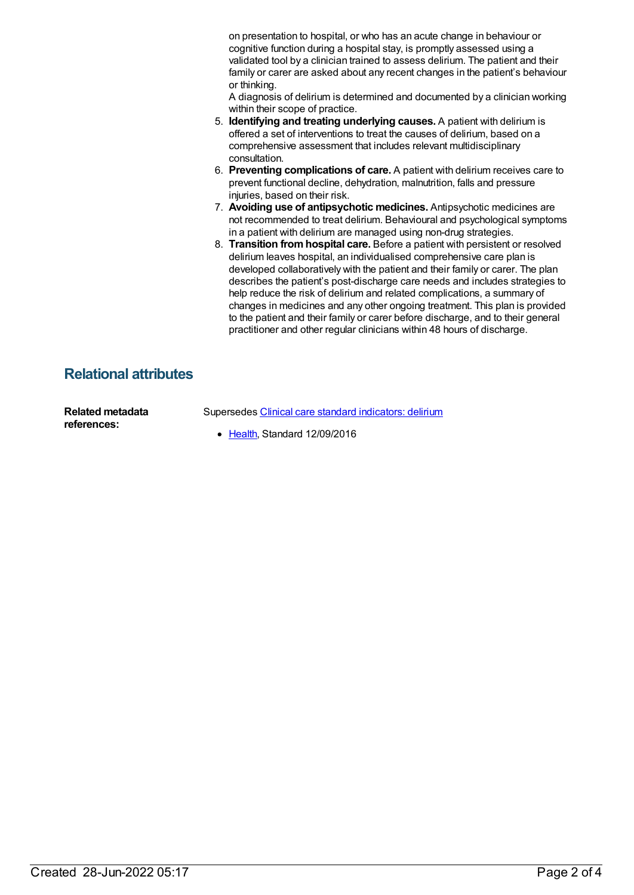on presentation to hospital, or who has an acute change in behaviour or cognitive function during a hospital stay, is promptly assessed using a validated tool by a clinician trained to assess delirium. The patient and their family or carer are asked about any recent changes in the patient's behaviour or thinking.

A diagnosis of delirium is determined and documented by a clinician working within their scope of practice.

- 5. **Identifying and treating underlying causes.** A patient with delirium is offered a set of interventions to treat the causes of delirium, based on a comprehensive assessment that includes relevant multidisciplinary consultation.
- 6. **Preventing complications of care.** A patient with delirium receives care to prevent functional decline, dehydration, malnutrition, falls and pressure injuries, based on their risk.
- 7. **Avoiding use of antipsychotic medicines.** Antipsychotic medicines are not recommended to treat delirium. Behavioural and psychological symptoms in a patient with delirium are managed using non-drug strategies.
- 8. **Transition fromhospital care.** Before a patient with persistent or resolved delirium leaves hospital, an individualised comprehensive care plan is developed collaboratively with the patient and their family or carer. The plan describes the patient's post-discharge care needs and includes strategies to help reduce the risk of delirium and related complications, a summary of changes in medicines and any other ongoing treatment. This plan is provided to the patient and their family or carer before discharge, and to their general practitioner and other regular clinicians within 48 hours of discharge.

#### **Relational attributes**

**Related metadata references:** Supersedes Clinical care standard [indicators:](https://meteor.aihw.gov.au/content/613164) delirium • [Health](https://meteor.aihw.gov.au/RegistrationAuthority/12), Standard 12/09/2016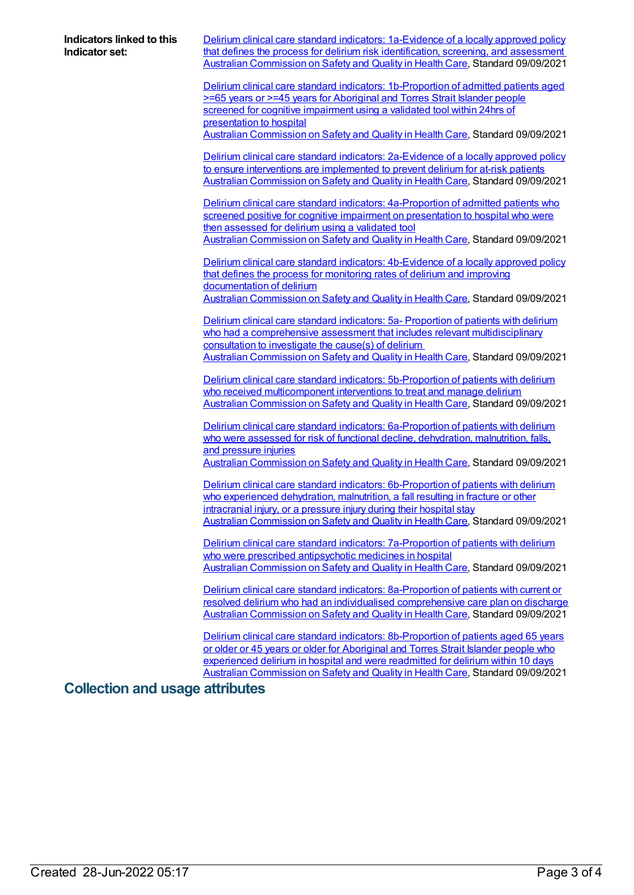| <b>Indicators linked to this</b><br>Indicator set: | Delirium clinical care standard indicators: 1a-Evidence of a locally approved policy<br>that defines the process for delirium risk identification, screening, and assessment<br>Australian Commission on Safety and Quality in Health Care, Standard 09/09/2021                                               |
|----------------------------------------------------|---------------------------------------------------------------------------------------------------------------------------------------------------------------------------------------------------------------------------------------------------------------------------------------------------------------|
|                                                    | Delirium clinical care standard indicators: 1b-Proportion of admitted patients aged<br>>=65 years or >=45 years for Aboriginal and Torres Strait Islander people<br>screened for cognitive impairment using a validated tool within 24hrs of<br>presentation to hospital                                      |
|                                                    | Australian Commission on Safety and Quality in Health Care, Standard 09/09/2021                                                                                                                                                                                                                               |
|                                                    | Delirium clinical care standard indicators: 2a-Evidence of a locally approved policy<br>to ensure interventions are implemented to prevent delirium for at-risk patients<br>Australian Commission on Safety and Quality in Health Care, Standard 09/09/2021                                                   |
|                                                    | Delirium clinical care standard indicators: 4a-Proportion of admitted patients who<br>screened positive for cognitive impairment on presentation to hospital who were<br>then assessed for delirium using a validated tool<br>Australian Commission on Safety and Quality in Health Care, Standard 09/09/2021 |
|                                                    | Delirium clinical care standard indicators: 4b-Evidence of a locally approved policy<br>that defines the process for monitoring rates of delirium and improving<br>documentation of delirium                                                                                                                  |
|                                                    | Australian Commission on Safety and Quality in Health Care, Standard 09/09/2021                                                                                                                                                                                                                               |
|                                                    | Delirium clinical care standard indicators: 5a- Proportion of patients with delirium<br>who had a comprehensive assessment that includes relevant multidisciplinary<br>consultation to investigate the cause(s) of delirium                                                                                   |
|                                                    | Australian Commission on Safety and Quality in Health Care, Standard 09/09/2021<br>Delirium clinical care standard indicators: 5b-Proportion of patients with delirium                                                                                                                                        |
|                                                    | who received multicomponent interventions to treat and manage delirium<br>Australian Commission on Safety and Quality in Health Care, Standard 09/09/2021                                                                                                                                                     |
|                                                    | Delirium clinical care standard indicators: 6a-Proportion of patients with delirium<br>who were assessed for risk of functional decline, dehydration, malnutrition, falls,<br>and pressure injuries                                                                                                           |
|                                                    | Australian Commission on Safety and Quality in Health Care, Standard 09/09/2021                                                                                                                                                                                                                               |
|                                                    | Delirium clinical care standard indicators: 6b-Proportion of patients with delirium<br>who experienced dehydration, malnutrition, a fall resulting in fracture or other<br><u>intracranial injury, or a pressure injury during their hospital stay</u>                                                        |
|                                                    | Australian Commission on Safety and Quality in Health Care, Standard 09/09/2021<br>Delirium clinical care standard indicators: 7a-Proportion of patients with delirium                                                                                                                                        |
|                                                    | who were prescribed antipsychotic medicines in hospital<br>Australian Commission on Safety and Quality in Health Care, Standard 09/09/2021                                                                                                                                                                    |
|                                                    | Delirium clinical care standard indicators: 8a-Proportion of patients with current or<br>resolved delirium who had an individualised comprehensive care plan on discharge<br>Australian Commission on Safety and Quality in Health Care, Standard 09/09/2021                                                  |
|                                                    | Delirium clinical care standard indicators: 8b-Proportion of patients aged 65 years<br>or older or 45 years or older for Aboriginal and Torres Strait Islander people who<br>experienced delirium in hospital and were readmitted for delirium within 10 days                                                 |
|                                                    | Australian Commission on Safety and Quality in Health Care, Standard 09/09/2021                                                                                                                                                                                                                               |

## **Collection and usage attributes**